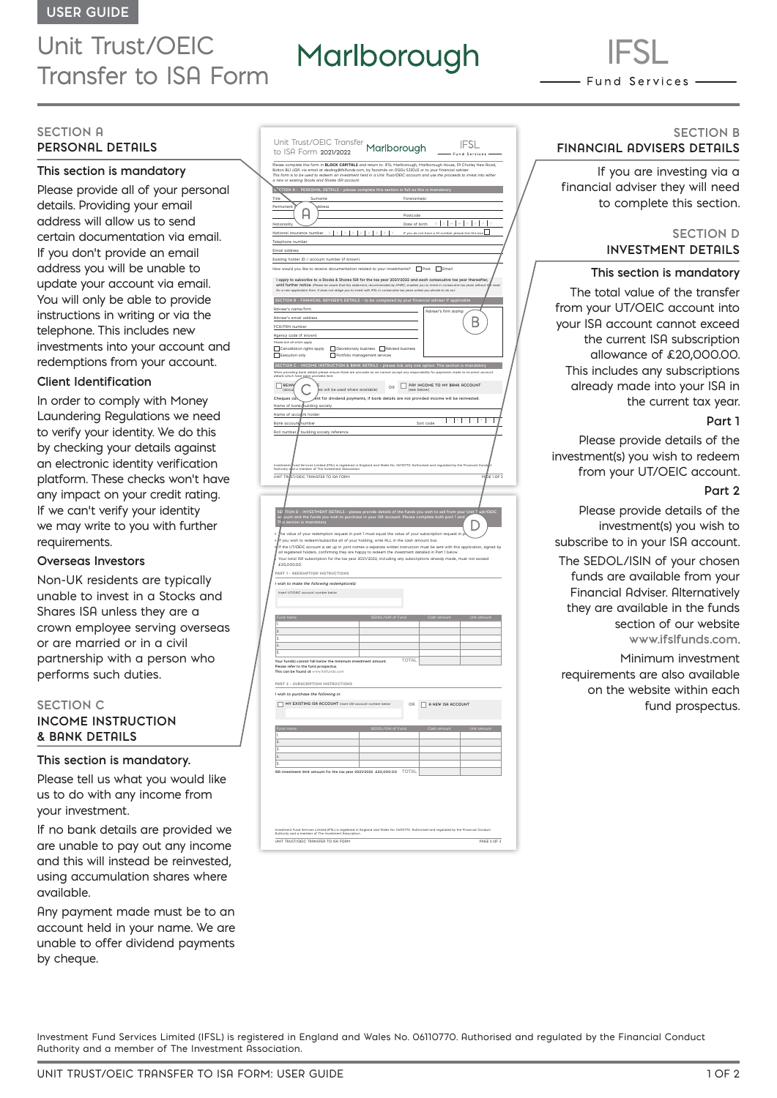# Unit Trust/OEIC Transfer to ISA Form

# Marlborough

- Fund Services —

# **SECTION A PERSONAL DETAILS**

# **This section is mandatory**

Please provide all of your personal details. Providing your email address will allow us to send certain documentation via email. If you don't provide an email address you will be unable to update your account via email. You will only be able to provide instructions in writing or via the telephone. This includes new investments into your account and redemptions from your account.

#### **Client Identification**

In order to comply with Money Laundering Regulations we need to verify your identity. We do this by checking your details against an electronic identity verification platform. These checks won't have any impact on your credit rating. If we can't verify your identity we may write to you with further requirements.

#### **Overseas Investors**

Non-UK residents are typically unable to invest in a Stocks and Shares ISA unless they are a crown employee serving overseas or are married or in a civil partnership with a person who performs such duties.

# **SECTION C INCOME INSTRUCTION & BANK DETAILS**

# **This section is mandatory.**

Please tell us what you would like us to do with any income from your investment.

If no bank details are provided we are unable to pay out any income and this will instead be reinvested, using accumulation shares where available.

Any payment made must be to an account held in your name. We are unable to offer dividend payments by cheque.

| Unit Trust/OEIC Transfer Marlborough                                                                                                                                                                                                                                                                                                                                                                                                                                                                                                                                                                                                                       |                                                                                                                                                     | - Fund                                              | IFSL                        |
|------------------------------------------------------------------------------------------------------------------------------------------------------------------------------------------------------------------------------------------------------------------------------------------------------------------------------------------------------------------------------------------------------------------------------------------------------------------------------------------------------------------------------------------------------------------------------------------------------------------------------------------------------------|-----------------------------------------------------------------------------------------------------------------------------------------------------|-----------------------------------------------------|-----------------------------|
| -<br>Please complete this form in <b>BLOCK CAPITALS</b> and return to: IFSL Marlborough, Marlborough House, 59 Chorley New Road,<br>Bolton BL1 AQP, via email at dealing@ifsifunds.com, by facsimile on 01204 533045 or to your financial<br>This form is to be used to redeem an investment held in a Unit Trust/OEIC account and use the proceeds to invest into either<br>a new or existing Stocks and Shares ISA account.                                                                                                                                                                                                                              |                                                                                                                                                     |                                                     |                             |
| STOTION A - PERSONAL DETAILS - please complete this section in full as this is mandatory                                                                                                                                                                                                                                                                                                                                                                                                                                                                                                                                                                   |                                                                                                                                                     |                                                     |                             |
| Title<br>Surname                                                                                                                                                                                                                                                                                                                                                                                                                                                                                                                                                                                                                                           | Forename(s)                                                                                                                                         |                                                     |                             |
| Permanent<br>diress                                                                                                                                                                                                                                                                                                                                                                                                                                                                                                                                                                                                                                        |                                                                                                                                                     |                                                     |                             |
|                                                                                                                                                                                                                                                                                                                                                                                                                                                                                                                                                                                                                                                            | Postcode                                                                                                                                            |                                                     |                             |
| Nationality                                                                                                                                                                                                                                                                                                                                                                                                                                                                                                                                                                                                                                                | Date of birth                                                                                                                                       |                                                     | D D M M Y Y Y Y             |
| ı<br>National insurance number<br>ı                                                                                                                                                                                                                                                                                                                                                                                                                                                                                                                                                                                                                        | ı                                                                                                                                                   | If you do not have a NI number please tick this box |                             |
| Telephone number                                                                                                                                                                                                                                                                                                                                                                                                                                                                                                                                                                                                                                           |                                                                                                                                                     |                                                     |                             |
| Email address                                                                                                                                                                                                                                                                                                                                                                                                                                                                                                                                                                                                                                              |                                                                                                                                                     |                                                     |                             |
| Existing holder ID / account number (if known)                                                                                                                                                                                                                                                                                                                                                                                                                                                                                                                                                                                                             |                                                                                                                                                     |                                                     |                             |
| How would you like to receive documentation related to your investments? Post Figures<br>I apply to subscribe to a Stocks & Shares ISA for the tax year 2021/2022 and each consecutive tax year thereafter,<br>until further notice. (Please be aw<br>for a new application form. It does not oblige you to invest with IFSL in consecutive tax years unless you decide to do so.)                                                                                                                                                                                                                                                                         | we that this statement, recommended by HMRC, enables you to                                                                                         |                                                     |                             |
| SECTION B - FINANCIAL ADVISER'S DETAILS - to be completed by your financial adviser if applicable                                                                                                                                                                                                                                                                                                                                                                                                                                                                                                                                                          |                                                                                                                                                     |                                                     |                             |
| Adviser's name/firm                                                                                                                                                                                                                                                                                                                                                                                                                                                                                                                                                                                                                                        |                                                                                                                                                     | Adviser's firm stamp                                |                             |
| Adviser's email address                                                                                                                                                                                                                                                                                                                                                                                                                                                                                                                                                                                                                                    |                                                                                                                                                     |                                                     |                             |
| FCA/FRN number                                                                                                                                                                                                                                                                                                                                                                                                                                                                                                                                                                                                                                             |                                                                                                                                                     |                                                     |                             |
| Agency code (if known)                                                                                                                                                                                                                                                                                                                                                                                                                                                                                                                                                                                                                                     |                                                                                                                                                     |                                                     |                             |
| Please tick all which apply<br>Г                                                                                                                                                                                                                                                                                                                                                                                                                                                                                                                                                                                                                           |                                                                                                                                                     |                                                     |                             |
| Cancellation rights apply<br>Execution only<br>Г<br>Г                                                                                                                                                                                                                                                                                                                                                                                                                                                                                                                                                                                                      | Discretionary business Advised business<br>Portfolio management services                                                                            |                                                     |                             |
|                                                                                                                                                                                                                                                                                                                                                                                                                                                                                                                                                                                                                                                            |                                                                                                                                                     |                                                     |                             |
| SECTION C - INCOME INSTRUCTION & BANK DETAILS - please tick only one option. This section is mandatory<br>.<br>When providing bank details please ensure these are accurate as we cannot accept any responsibility for payments made to incorrect account<br>details which have <u>been</u> provided here.                                                                                                                                                                                                                                                                                                                                                 |                                                                                                                                                     |                                                     |                             |
|                                                                                                                                                                                                                                                                                                                                                                                                                                                                                                                                                                                                                                                            |                                                                                                                                                     |                                                     |                             |
| <b>REIN</b><br>faccu<br>es will be used where available)                                                                                                                                                                                                                                                                                                                                                                                                                                                                                                                                                                                                   | OR                                                                                                                                                  | PRY INCOME TO MY BRNK ACCOUNT<br>(see below)        |                             |
| Cheques ca                                                                                                                                                                                                                                                                                                                                                                                                                                                                                                                                                                                                                                                 | $\stackrel{\textstyle\phantom{\pm}}{\textstyle\phantom{\pm}}$ nt for dividend payments, if bank details are not provided income will be reinvested. |                                                     |                             |
| Name of bank/puilding society                                                                                                                                                                                                                                                                                                                                                                                                                                                                                                                                                                                                                              |                                                                                                                                                     |                                                     |                             |
| nt holder<br>Name of acco                                                                                                                                                                                                                                                                                                                                                                                                                                                                                                                                                                                                                                  |                                                                                                                                                     |                                                     |                             |
| <b>Bank account</b> number                                                                                                                                                                                                                                                                                                                                                                                                                                                                                                                                                                                                                                 |                                                                                                                                                     | ı<br>Ŀ<br>Sort code                                 | $X \rightarrow X$<br>ı<br>I |
| Roll number<br>building society reference                                                                                                                                                                                                                                                                                                                                                                                                                                                                                                                                                                                                                  |                                                                                                                                                     |                                                     |                             |
| nd Services Limited (IFSL) is registered in England and Wales No. 06110770. Ruthorised and regulated by the Financial Co.<br>a momber of The Impeterent Occasionica<br>stm                                                                                                                                                                                                                                                                                                                                                                                                                                                                                 |                                                                                                                                                     |                                                     |                             |
| uthority o                                                                                                                                                                                                                                                                                                                                                                                                                                                                                                                                                                                                                                                 |                                                                                                                                                     |                                                     |                             |
| UNIT TR<br>ST/OEIC TRANSFER TO ISA FORM                                                                                                                                                                                                                                                                                                                                                                                                                                                                                                                                                                                                                    |                                                                                                                                                     |                                                     | SE 1 OF 3<br>pp             |
|                                                                                                                                                                                                                                                                                                                                                                                                                                                                                                                                                                                                                                                            |                                                                                                                                                     |                                                     |                             |
|                                                                                                                                                                                                                                                                                                                                                                                                                                                                                                                                                                                                                                                            |                                                                                                                                                     |                                                     |                             |
| .<br>.TION D - INVESTMENT DETAILS - please provide details of the funds you wish to sell from your Unit T ust/OEIC<br>ount and the funds you wish to purchase in your ISA account. Please complete both part 1 and<br>he value of your redemption request in part I must equal the value of your subscription request in j<br>f you wish to redeem/subscribe all of your holding, write ALL in the cash amount box.<br>If the UT/OEIC account is set up in joint names a separate written instruction must be sent with this application, signed by<br>all registered holders, confirming they are happy to redeem the investment detailed in Part 1 below |                                                                                                                                                     |                                                     |                             |
| Your total ISA subscription for the tax year 2021/2022, including any subscriptions already made, must not exceed<br>£20,000.00.                                                                                                                                                                                                                                                                                                                                                                                                                                                                                                                           |                                                                                                                                                     |                                                     |                             |
| PART 1 - REDEMPTION INSTRUCTIONS                                                                                                                                                                                                                                                                                                                                                                                                                                                                                                                                                                                                                           |                                                                                                                                                     |                                                     |                             |
|                                                                                                                                                                                                                                                                                                                                                                                                                                                                                                                                                                                                                                                            |                                                                                                                                                     |                                                     |                             |
| I wish to make the following redemption(s):                                                                                                                                                                                                                                                                                                                                                                                                                                                                                                                                                                                                                |                                                                                                                                                     |                                                     |                             |
| Insert UT/OEIC account number below                                                                                                                                                                                                                                                                                                                                                                                                                                                                                                                                                                                                                        |                                                                                                                                                     |                                                     |                             |
|                                                                                                                                                                                                                                                                                                                                                                                                                                                                                                                                                                                                                                                            |                                                                                                                                                     |                                                     |                             |
|                                                                                                                                                                                                                                                                                                                                                                                                                                                                                                                                                                                                                                                            |                                                                                                                                                     |                                                     |                             |
| ٦                                                                                                                                                                                                                                                                                                                                                                                                                                                                                                                                                                                                                                                          |                                                                                                                                                     |                                                     |                             |
| $\overline{2}$                                                                                                                                                                                                                                                                                                                                                                                                                                                                                                                                                                                                                                             |                                                                                                                                                     |                                                     |                             |
| x                                                                                                                                                                                                                                                                                                                                                                                                                                                                                                                                                                                                                                                          |                                                                                                                                                     |                                                     |                             |
| z,                                                                                                                                                                                                                                                                                                                                                                                                                                                                                                                                                                                                                                                         |                                                                                                                                                     |                                                     |                             |
| S                                                                                                                                                                                                                                                                                                                                                                                                                                                                                                                                                                                                                                                          |                                                                                                                                                     |                                                     |                             |
| Your fund(s) cannot fall below the minimum investment amount.                                                                                                                                                                                                                                                                                                                                                                                                                                                                                                                                                                                              | TOTAL                                                                                                                                               |                                                     |                             |
| Please refer to the fund prospectus.<br>This can be found at<br>v.ifsifunds.com                                                                                                                                                                                                                                                                                                                                                                                                                                                                                                                                                                            |                                                                                                                                                     |                                                     |                             |
| PART 2 - SUBSCRIPTION INSTRUCTIONS                                                                                                                                                                                                                                                                                                                                                                                                                                                                                                                                                                                                                         |                                                                                                                                                     |                                                     |                             |
|                                                                                                                                                                                                                                                                                                                                                                                                                                                                                                                                                                                                                                                            |                                                                                                                                                     |                                                     |                             |
| I wish to purchase the following in:                                                                                                                                                                                                                                                                                                                                                                                                                                                                                                                                                                                                                       |                                                                                                                                                     |                                                     |                             |
| MY EXISTING ISA ACCOUNT Insert ISA account number below<br>г                                                                                                                                                                                                                                                                                                                                                                                                                                                                                                                                                                                               |                                                                                                                                                     | OR A NEW ISA ACCOUNT                                |                             |
|                                                                                                                                                                                                                                                                                                                                                                                                                                                                                                                                                                                                                                                            |                                                                                                                                                     |                                                     |                             |
|                                                                                                                                                                                                                                                                                                                                                                                                                                                                                                                                                                                                                                                            |                                                                                                                                                     |                                                     |                             |
|                                                                                                                                                                                                                                                                                                                                                                                                                                                                                                                                                                                                                                                            | SEDOL/ISIN of Fund                                                                                                                                  |                                                     | Unit amoun                  |
| 1.                                                                                                                                                                                                                                                                                                                                                                                                                                                                                                                                                                                                                                                         |                                                                                                                                                     |                                                     |                             |
| $\overline{\mathbf{c}}$<br>3                                                                                                                                                                                                                                                                                                                                                                                                                                                                                                                                                                                                                               |                                                                                                                                                     |                                                     |                             |
|                                                                                                                                                                                                                                                                                                                                                                                                                                                                                                                                                                                                                                                            |                                                                                                                                                     |                                                     |                             |
|                                                                                                                                                                                                                                                                                                                                                                                                                                                                                                                                                                                                                                                            |                                                                                                                                                     |                                                     |                             |
| $\overline{L}$<br>s                                                                                                                                                                                                                                                                                                                                                                                                                                                                                                                                                                                                                                        |                                                                                                                                                     |                                                     |                             |
|                                                                                                                                                                                                                                                                                                                                                                                                                                                                                                                                                                                                                                                            |                                                                                                                                                     |                                                     |                             |
| ISA investment limit amount for the tax year 2021/2022 £20,000.00                                                                                                                                                                                                                                                                                                                                                                                                                                                                                                                                                                                          | TOTAL                                                                                                                                               |                                                     |                             |
|                                                                                                                                                                                                                                                                                                                                                                                                                                                                                                                                                                                                                                                            |                                                                                                                                                     |                                                     |                             |
|                                                                                                                                                                                                                                                                                                                                                                                                                                                                                                                                                                                                                                                            |                                                                                                                                                     |                                                     |                             |
|                                                                                                                                                                                                                                                                                                                                                                                                                                                                                                                                                                                                                                                            |                                                                                                                                                     |                                                     |                             |
|                                                                                                                                                                                                                                                                                                                                                                                                                                                                                                                                                                                                                                                            |                                                                                                                                                     |                                                     |                             |

#### **SECTION B FINANCIAL ADVISERS DETAILS**

If you are investing via a financial adviser they will need to complete this section.

#### **SECTION D INVESTMENT DETAILS**

#### **This section is mandatory**

The total value of the transfer from your UT/OEIC account into your ISA account cannot exceed the current ISA subscription allowance of £20,000.00. This includes any subscriptions already made into your ISA in the current tax year.

#### **Part 1**

Please provide details of the investment(s) you wish to redeem from your UT/OEIC account.

#### **Part 2**

Please provide details of the investment(s) you wish to subscribe to in your ISA account.

The SEDOL/ISIN of your chosen funds are available from your Financial Adviser. Alternatively they are available in the funds section of our website **www.ifslfunds.com**.

Minimum investment requirements are also available on the website within each fund prospectus.

Investment Fund Services Limited (IFSL) is registered in England and Wales No. 06110770. Authorised and regulated by the Financial Conduct Authority and a member of The Investment Association.

UNIT TRUST/OEIC TRANSFER TO ISA FORM PAGE 2 OF 3

Investment Fund Services Limited (IFSL) is registered in England and Wales No. 06110770. Authorised and regulated by the Financial Conduct

Authority and a member of The Investment Association.